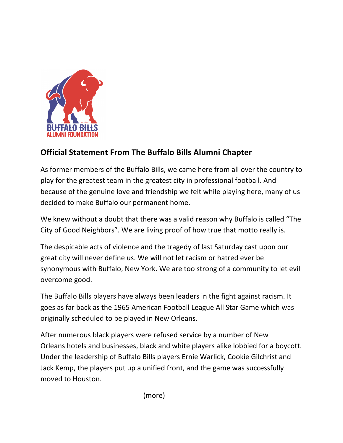

## **Official Statement From The Buffalo Bills Alumni Chapter**

As former members of the Buffalo Bills, we came here from all over the country to play for the greatest team in the greatest city in professional football. And because of the genuine love and friendship we felt while playing here, many of us decided to make Buffalo our permanent home.

We knew without a doubt that there was a valid reason why Buffalo is called "The City of Good Neighbors". We are living proof of how true that motto really is.

The despicable acts of violence and the tragedy of last Saturday cast upon our great city will never define us. We will not let racism or hatred ever be synonymous with Buffalo, New York. We are too strong of a community to let evil overcome good.

The Buffalo Bills players have always been leaders in the fight against racism. It goes as far back as the 1965 American Football League All Star Game which was originally scheduled to be played in New Orleans.

After numerous black players were refused service by a number of New Orleans hotels and businesses, black and white players alike lobbied for a boycott. Under the leadership of Buffalo Bills players Ernie Warlick, Cookie Gilchrist and Jack Kemp, the players put up a unified front, and the game was successfully moved to Houston.

 (more)